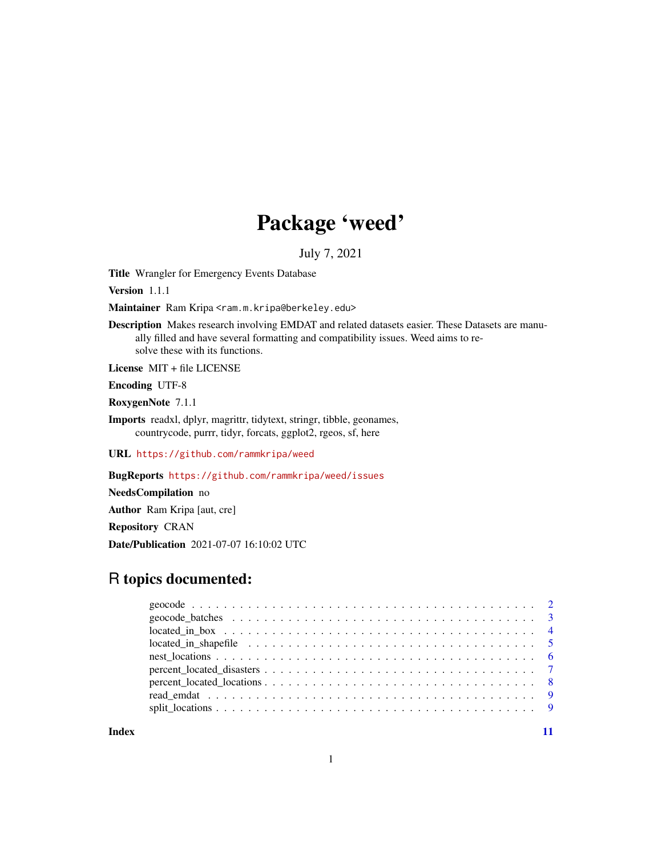## Package 'weed'

July 7, 2021

Title Wrangler for Emergency Events Database

Version 1.1.1

Maintainer Ram Kripa <ram.m.kripa@berkeley.edu>

Description Makes research involving EMDAT and related datasets easier. These Datasets are manually filled and have several formatting and compatibility issues. Weed aims to resolve these with its functions.

License MIT + file LICENSE

Encoding UTF-8

RoxygenNote 7.1.1

Imports readxl, dplyr, magrittr, tidytext, stringr, tibble, geonames, countrycode, purrr, tidyr, forcats, ggplot2, rgeos, sf, here

URL <https://github.com/rammkripa/weed>

BugReports <https://github.com/rammkripa/weed/issues>

NeedsCompilation no

Author Ram Kripa [aut, cre]

Repository CRAN

Date/Publication 2021-07-07 16:10:02 UTC

## R topics documented:

**Index** [11](#page-10-0)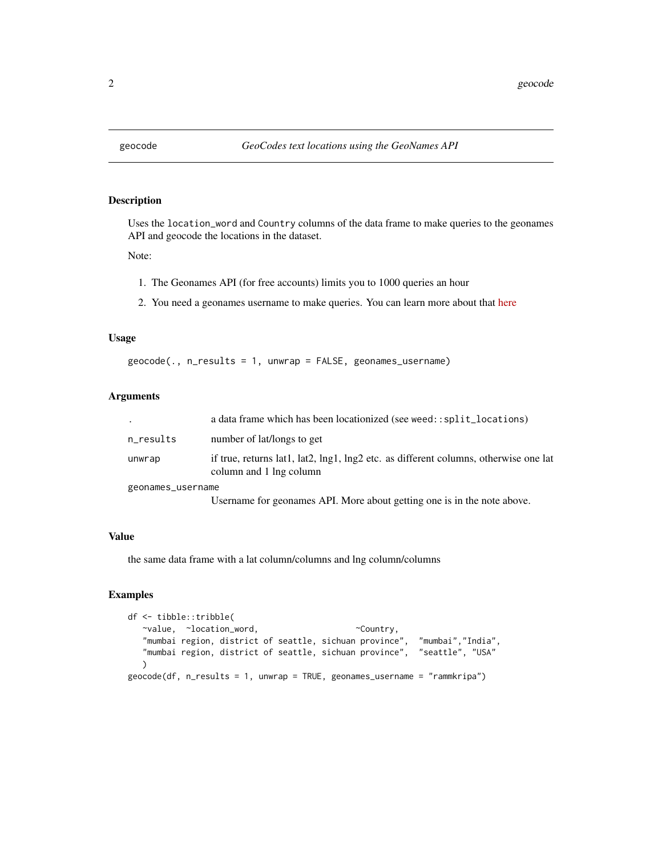<span id="page-1-0"></span>

Uses the location\_word and Country columns of the data frame to make queries to the geonames API and geocode the locations in the dataset.

Note:

- 1. The Geonames API (for free accounts) limits you to 1000 queries an hour
- 2. You need a geonames username to make queries. You can learn more about that [here](https://www.geonames.org/manual.html)

#### Usage

geocode(., n\_results = 1, unwrap = FALSE, geonames\_username)

#### Arguments

|                   | a data frame which has been locationized (see weed::split_locations)                                            |
|-------------------|-----------------------------------------------------------------------------------------------------------------|
| n_results         | number of lat/longs to get                                                                                      |
| unwrap            | if true, returns lat1, lat2, lng1, lng2 etc. as different columns, otherwise one lat<br>column and 1 lng column |
| geonames_username |                                                                                                                 |
|                   | Username for geonames API. More about getting one is in the note above.                                         |

#### Value

the same data frame with a lat column/columns and lng column/columns

```
df <- tibble::tribble(
  ~value, ~location_word, ~Country,
  "mumbai region, district of seattle, sichuan province", "mumbai","India",
  "mumbai region, district of seattle, sichuan province", "seattle", "USA"
  \lambdageocode(df, n_results = 1, unwrap = TRUE, geonames_username = "rammkripa")
```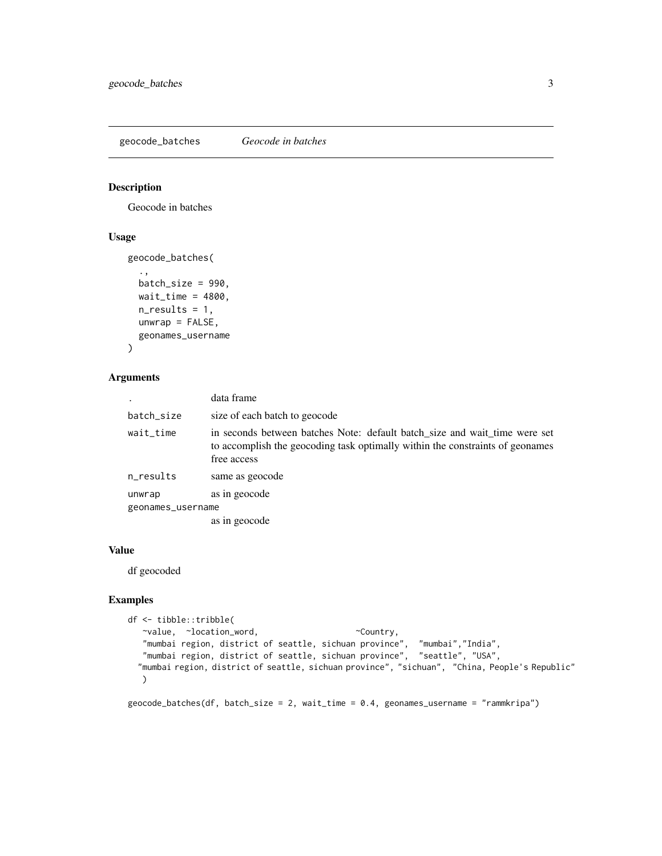<span id="page-2-0"></span>geocode\_batches *Geocode in batches*

#### Description

Geocode in batches

#### Usage

```
geocode_batches(
  .,
 batch_size = 990,
 wait_time = 4800,
 n_results = 1,
 unwrap = FALSE,geonames_username
```
## )

#### Arguments

|                   | data frame                                                                                                                                                                 |
|-------------------|----------------------------------------------------------------------------------------------------------------------------------------------------------------------------|
| batch_size        | size of each batch to geocode                                                                                                                                              |
| wait_time         | in seconds between batches Note: default batch_size and wait_time were set<br>to accomplish the geocoding task optimally within the constraints of geonames<br>free access |
| n_results         | same as geocode                                                                                                                                                            |
| unwrap            | as in geocode                                                                                                                                                              |
| geonames_username |                                                                                                                                                                            |
|                   | as in geocode                                                                                                                                                              |
|                   |                                                                                                                                                                            |

#### Value

df geocoded

#### Examples

```
df <- tibble::tribble(
  ~value, ~location_word, ~Country,
   "mumbai region, district of seattle, sichuan province", "mumbai","India",
   "mumbai region, district of seattle, sichuan province", "seattle", "USA",
  "mumbai region, district of seattle, sichuan province", "sichuan", "China, People's Republic"
  \lambda
```
geocode\_batches(df, batch\_size = 2, wait\_time = 0.4, geonames\_username = "rammkripa")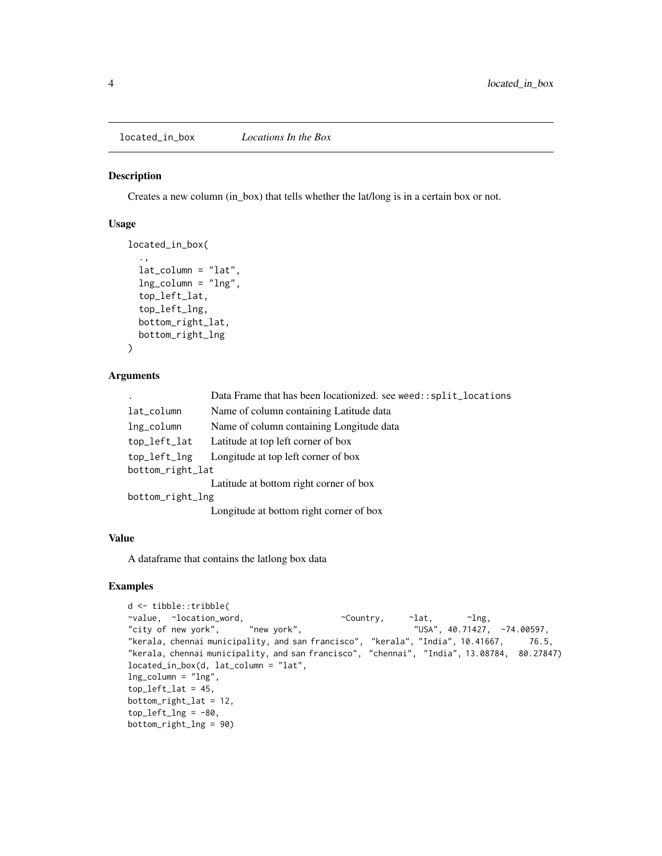<span id="page-3-0"></span>located\_in\_box *Locations In the Box*

#### Description

Creates a new column (in\_box) that tells whether the lat/long is in a certain box or not.

#### Usage

```
located_in_box(
  .,
  lat\_column = "lat",ln g_{colum} = "ln g",top_left_lat,
  top_left_lng,
 bottom_right_lat,
 bottom_right_lng
)
```
#### Arguments

|                  | Data Frame that has been locationized. see weed::split_locations |  |
|------------------|------------------------------------------------------------------|--|
| lat_column       | Name of column containing Latitude data                          |  |
| lng_column       | Name of column containing Longitude data                         |  |
| top_left_lat     | Latitude at top left corner of box                               |  |
| top_left_lng     | Longitude at top left corner of box                              |  |
| bottom_right_lat |                                                                  |  |
|                  | Latitude at bottom right corner of box                           |  |
| bottom_right_lng |                                                                  |  |
|                  |                                                                  |  |

### Longitude at bottom right corner of box

#### Value

A dataframe that contains the latlong box data

```
d <- tibble::tribble(
~value, ~location_word, \simCountry, ~lat, ~lng, \simlividity of new york", \sim "new york", \sim "USA", 40.71427,
"city of new york", "new york", "USA", 40.71427, -74.00597,
"kerala, chennai municipality, and san francisco", "kerala", "India", 10.41667, 76.5,
"kerala, chennai municipality, and san francisco", "chennai", "India", 13.08784, 80.27847)
located_in_box(d, lat_column = "lat",
lng_column = "lng",
top\_left\_lat = 45,
bottom_right_lat = 12,
top\_left\_Ing = -80,
bottom_right_lng = 90)
```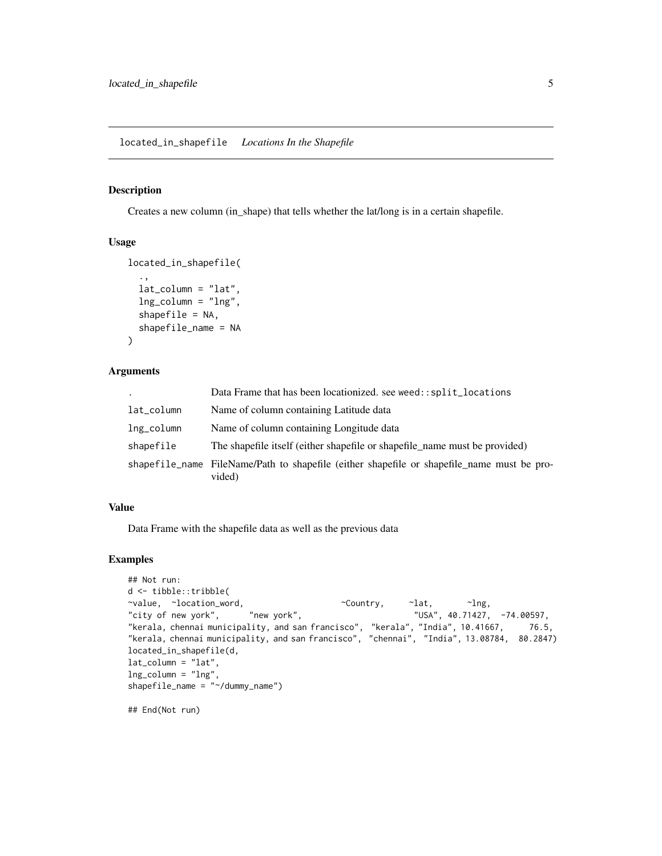<span id="page-4-0"></span>Creates a new column (in\_shape) that tells whether the lat/long is in a certain shapefile.

#### Usage

```
located_in_shapefile(
  .,
  lat_column = "lat",
  lng_column = "lng",
  shapefile = NA,
  shapefile_name = NA
\mathcal{L}
```
#### Arguments

| $\ddot{\phantom{a}}$ | Data Frame that has been locationized, see weed::split_locations                                     |
|----------------------|------------------------------------------------------------------------------------------------------|
| lat_column           | Name of column containing Latitude data                                                              |
| lng_column           | Name of column containing Longitude data                                                             |
| shapefile            | The shapefile itself (either shapefile or shapefile name must be provided)                           |
|                      | shapefile_name FileName/Path to shapefile (either shapefile or shapefile_name must be pro-<br>vided) |

#### Value

Data Frame with the shapefile data as well as the previous data

```
## Not run:
d <- tibble::tribble(
~value, ~location_word, ~Country, ~lat, ~lng,
"city of new york", \qquad "new york",
"kerala, chennai municipality, and san francisco", "kerala", "India", 10.41667, 76.5,
"kerala, chennai municipality, and san francisco", "chennai", "India", 13.08784, 80.2847)
located_in_shapefile(d,
lat_column = "lat",
lng_column = "lng",
shapefile_name = "~/dummy_name")
## End(Not run)
```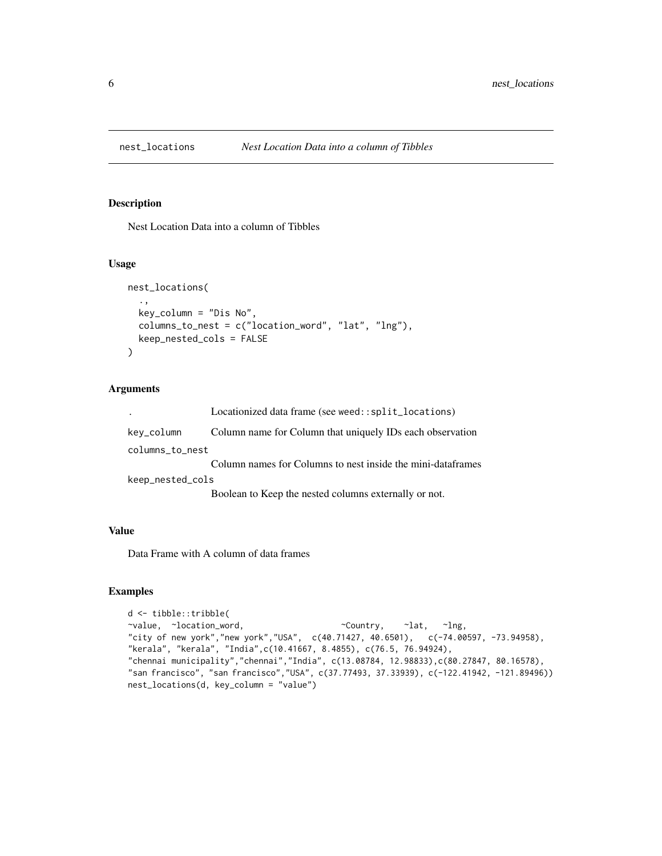<span id="page-5-0"></span>

Nest Location Data into a column of Tibbles

#### Usage

```
nest_locations(
  .,
  key_column = "Dis No",
  columns_to_nest = c("location_word", "lat", "lng"),
 keep_nested_cols = FALSE
\mathcal{L}
```
#### Arguments

|                  | Locationized data frame (see weed::split_locations)         |
|------------------|-------------------------------------------------------------|
| kev_column       | Column name for Column that uniquely IDs each observation   |
| columns_to_nest  |                                                             |
|                  | Column names for Columns to nest inside the mini-dataframes |
| keep_nested_cols |                                                             |
|                  | Boolean to Keep the nested columns externally or not.       |

#### Value

Data Frame with A column of data frames

```
d <- tibble::tribble(
~value, ~location_word, ~Country, ~lat, ~lng,
"city of new york","new york","USA", c(40.71427, 40.6501), c(-74.00597, -73.94958),
"kerala", "kerala", "India",c(10.41667, 8.4855), c(76.5, 76.94924),
"chennai municipality","chennai","India", c(13.08784, 12.98833),c(80.27847, 80.16578),
"san francisco", "san francisco","USA", c(37.77493, 37.33939), c(-122.41942, -121.89496))
nest_locations(d, key_column = "value")
```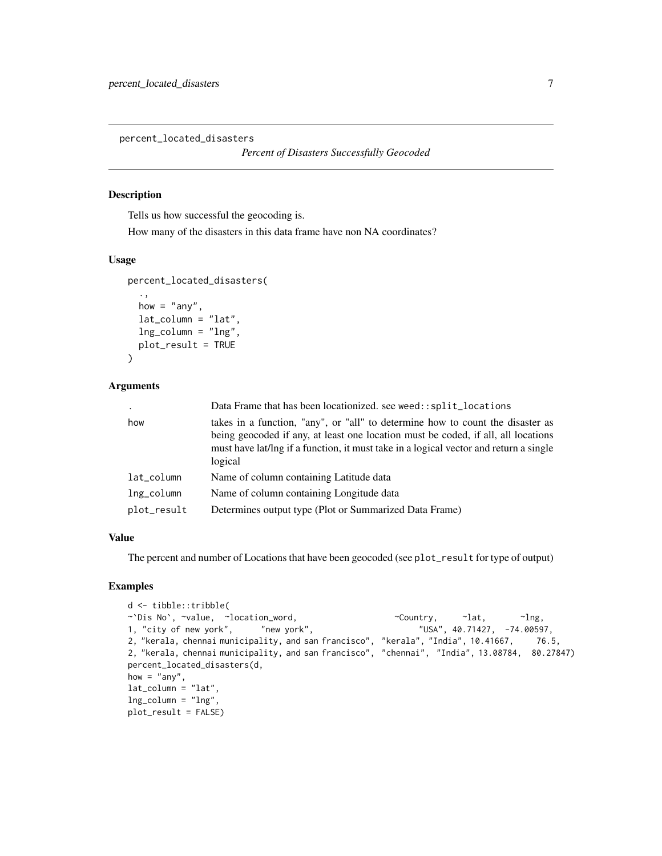<span id="page-6-0"></span>percent\_located\_disasters

*Percent of Disasters Successfully Geocoded*

#### Description

Tells us how successful the geocoding is.

How many of the disasters in this data frame have non NA coordinates?

#### Usage

```
percent_located_disasters(
  .,
  how = "any",
  lat\_column = "lat",lng_column = "lng",
  plot_result = TRUE
```

```
)
```
#### Arguments

|             | Data Frame that has been locationized, see weed::split_locations                                                                                                                                                                                                        |
|-------------|-------------------------------------------------------------------------------------------------------------------------------------------------------------------------------------------------------------------------------------------------------------------------|
| how         | takes in a function, "any", or "all" to determine how to count the disaster as<br>being geocoded if any, at least one location must be coded, if all, all locations<br>must have lat/lng if a function, it must take in a logical vector and return a single<br>logical |
| lat_column  | Name of column containing Latitude data                                                                                                                                                                                                                                 |
| lng_column  | Name of column containing Longitude data                                                                                                                                                                                                                                |
| plot_result | Determines output type (Plot or Summarized Data Frame)                                                                                                                                                                                                                  |

#### Value

The percent and number of Locations that have been geocoded (see plot\_result for type of output)

```
d <- tibble::tribble(
~`Dis No`, ~value, ~location_word, \sim ~Country, ~lat, ~lng,
1, "city of new york", "new york", "USA", 40.71427, -74.00597,
2, "kerala, chennai municipality, and san francisco", "kerala", "India", 10.41667, 76.5,
2, "kerala, chennai municipality, and san francisco", "chennai", "India", 13.08784, 80.27847)
percent_located_disasters(d,
how = "any",lat_column = "lat",
lng_column = "lng",
plot_result = FALSE)
```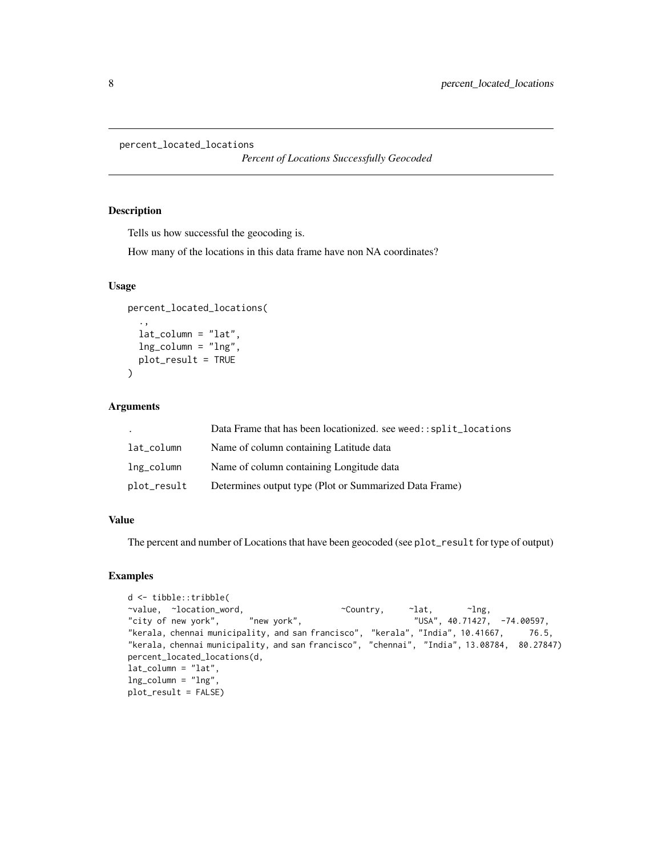```
percent_located_locations
```
*Percent of Locations Successfully Geocoded*

#### Description

Tells us how successful the geocoding is.

How many of the locations in this data frame have non NA coordinates?

#### Usage

```
percent_located_locations(
  .,
  lat_column = "lat",
 lng_column = "lng",
 plot_result = TRUE
)
```
#### Arguments

|             | Data Frame that has been locationized, see weed::split_locations |
|-------------|------------------------------------------------------------------|
| lat_column  | Name of column containing Latitude data                          |
| lng_column  | Name of column containing Longitude data                         |
| plot_result | Determines output type (Plot or Summarized Data Frame)           |

#### Value

The percent and number of Locations that have been geocoded (see plot\_result for type of output)

```
d <- tibble::tribble(
~value, ~location_word, ~Country, ~lat, ~lng,
"city of new york", "new york", "
city of new york", "
city of new york", \frac{1}{2} "
"USA", 40.71427, -74.00597,
"kerala, chennai municipality, and san francisco", "kerala", "India", 10.41667, 76.5,
"kerala, chennai municipality, and san francisco", "chennai", "India", 13.08784, 80.27847)
percent_located_locations(d,
lat_column = "lat",
lng_column = "lng",
plot_result = FALSE)
```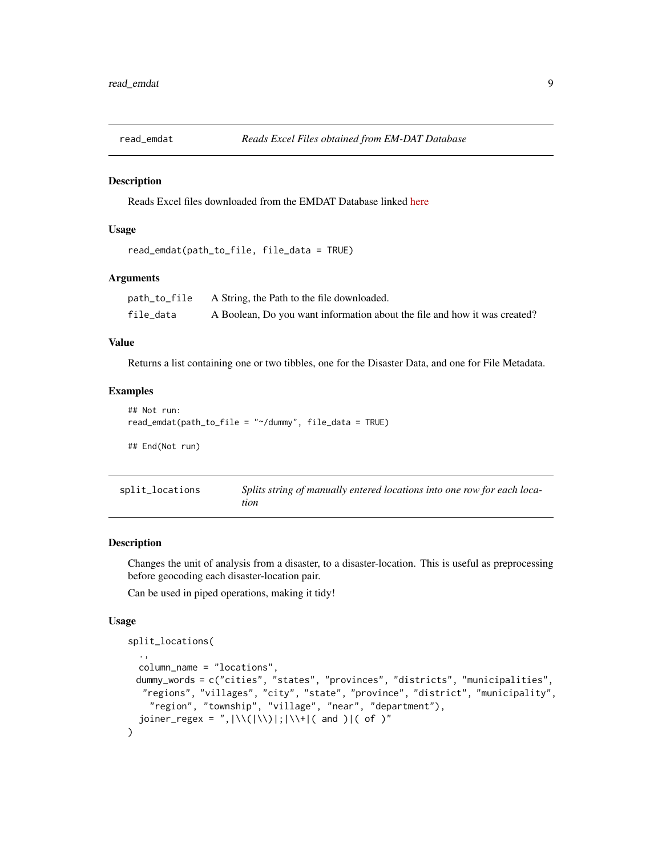<span id="page-8-0"></span>

Reads Excel files downloaded from the EMDAT Database linked [here](https://public.emdat.be/)

#### Usage

```
read_emdat(path_to_file, file_data = TRUE)
```
#### Arguments

| path_to_file | A String, the Path to the file downloaded.                                |
|--------------|---------------------------------------------------------------------------|
| file data    | A Boolean, Do you want information about the file and how it was created? |

#### Value

Returns a list containing one or two tibbles, one for the Disaster Data, and one for File Metadata.

#### Examples

```
## Not run:
read_emdat(path_to_file = "~/dummy", file_data = TRUE)
## End(Not run)
```

| split_locations | Splits string of manually entered locations into one row for each loca- |
|-----------------|-------------------------------------------------------------------------|
|                 | tion                                                                    |

#### Description

Changes the unit of analysis from a disaster, to a disaster-location. This is useful as preprocessing before geocoding each disaster-location pair.

Can be used in piped operations, making it tidy!

#### Usage

```
split_locations(
  .,
 column_name = "locations",
 dummy_words = c("cities", "states", "provinces", "districts", "municipalities",
  "regions", "villages", "city", "state", "province", "district", "municipality",
    "region", "township", "village", "near", "department"),
  joiner_regex = ",|\Upsilon(\cdot)|;|\Upsilon| and )|( of )"
\mathcal{L}
```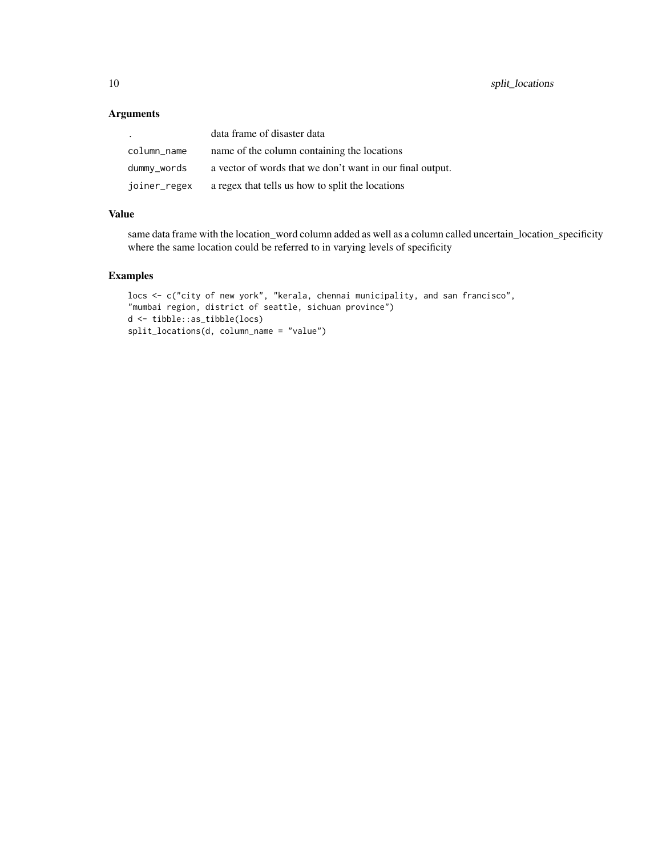#### Arguments

| $\cdot$      | data frame of disaster data                               |
|--------------|-----------------------------------------------------------|
| column_name  | name of the column containing the locations               |
| dummy_words  | a vector of words that we don't want in our final output. |
| joiner_regex | a regex that tells us how to split the locations          |

#### Value

same data frame with the location\_word column added as well as a column called uncertain\_location\_specificity where the same location could be referred to in varying levels of specificity

```
locs <- c("city of new york", "kerala, chennai municipality, and san francisco",
"mumbai region, district of seattle, sichuan province")
d <- tibble::as_tibble(locs)
split_locations(d, column_name = "value")
```